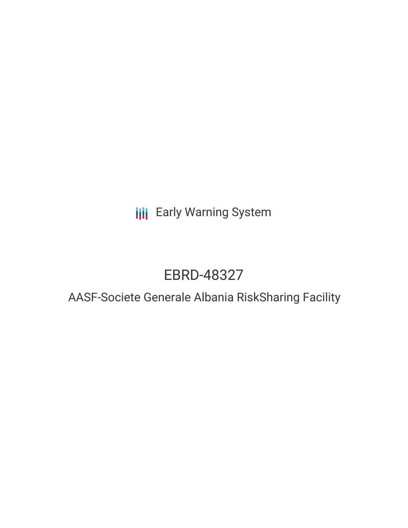**III** Early Warning System

# EBRD-48327

## AASF-Societe Generale Albania RiskSharing Facility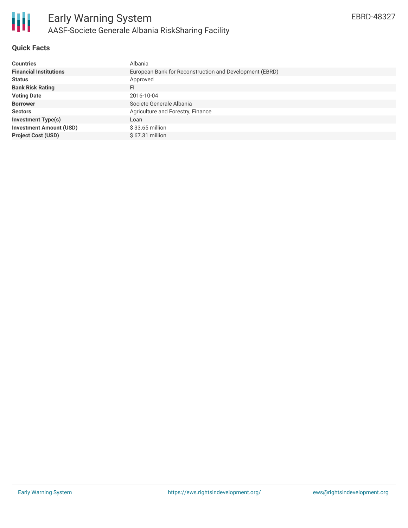

### **Quick Facts**

| <b>Countries</b>               | Albania                                                 |
|--------------------------------|---------------------------------------------------------|
| <b>Financial Institutions</b>  | European Bank for Reconstruction and Development (EBRD) |
| <b>Status</b>                  | Approved                                                |
| <b>Bank Risk Rating</b>        | FI                                                      |
| <b>Voting Date</b>             | 2016-10-04                                              |
| <b>Borrower</b>                | Societe Generale Albania                                |
| <b>Sectors</b>                 | Agriculture and Forestry, Finance                       |
| <b>Investment Type(s)</b>      | Loan                                                    |
| <b>Investment Amount (USD)</b> | $$33.65$ million                                        |
| <b>Project Cost (USD)</b>      | \$67.31 million                                         |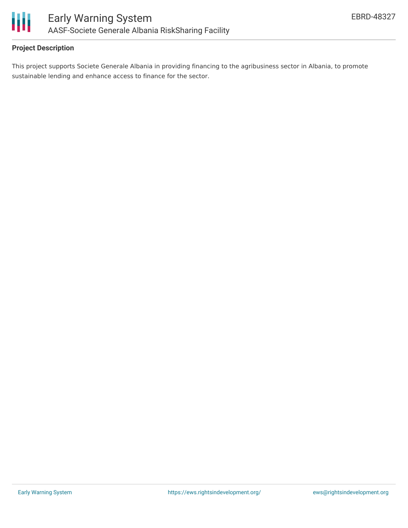

### **Project Description**

This project supports Societe Generale Albania in providing financing to the agribusiness sector in Albania, to promote sustainable lending and enhance access to finance for the sector.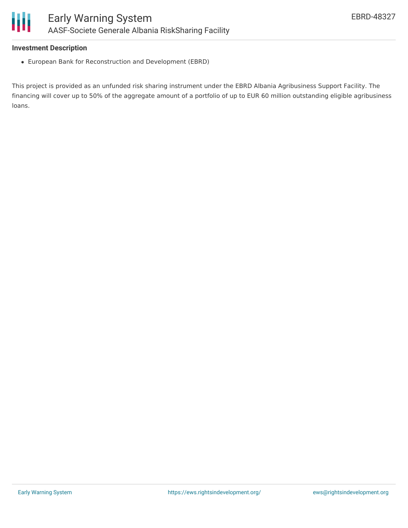#### **Investment Description**

European Bank for Reconstruction and Development (EBRD)

This project is provided as an unfunded risk sharing instrument under the EBRD Albania Agribusiness Support Facility. The financing will cover up to 50% of the aggregate amount of a portfolio of up to EUR 60 million outstanding eligible agribusiness loans.